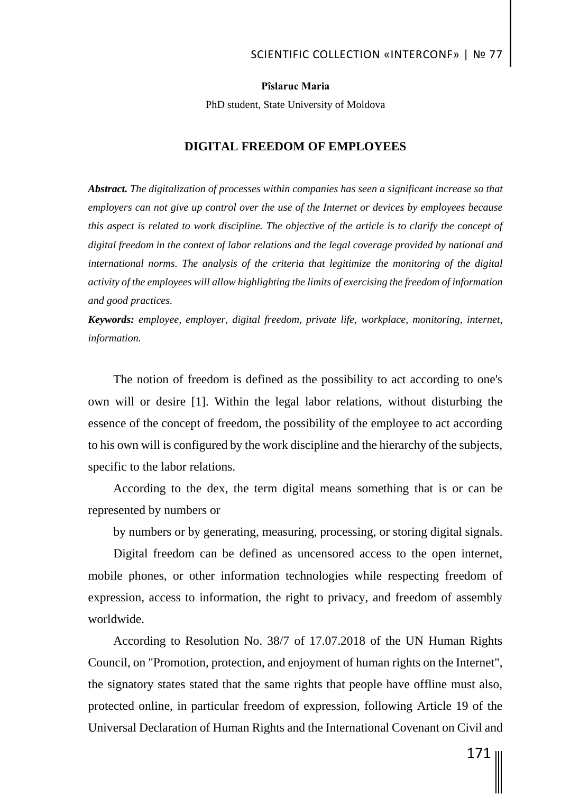#### **Pîslaruc Maria**

PhD student, State University of Moldova

#### **DIGITAL FREEDOM OF EMPLOYEES**

*Abstract. The digitalization of processes within companies has seen a significant increase so that employers can not give up control over the use of the Internet or devices by employees because this aspect is related to work discipline. The objective of the article is to clarify the concept of digital freedom in the context of labor relations and the legal coverage provided by national and international norms. The analysis of the criteria that legitimize the monitoring of the digital activity of the employees will allow highlighting the limits of exercising the freedom of information and good practices.*

*Keywords: employee, employer, digital freedom, private life, workplace, monitoring, internet, information.*

The notion of freedom is defined as the possibility to act according to one's own will or desire [1]. Within the legal labor relations, without disturbing the essence of the concept of freedom, the possibility of the employee to act according to his own will is configured by the work discipline and the hierarchy of the subjects, specific to the labor relations.

According to the dex, the term digital means something that is or can be represented by numbers or

by numbers or by generating, measuring, processing, or storing digital signals.

Digital freedom can be defined as uncensored access to the open internet, mobile phones, or other information technologies while respecting freedom of expression, access to information, the right to privacy, and freedom of assembly worldwide.

According to Resolution No. 38/7 of 17.07.2018 of the UN Human Rights Council, on "Promotion, protection, and enjoyment of human rights on the Internet", the signatory states stated that the same rights that people have offline must also, protected online, in particular freedom of expression, following Article 19 of the Universal Declaration of Human Rights and the International Covenant on Civil and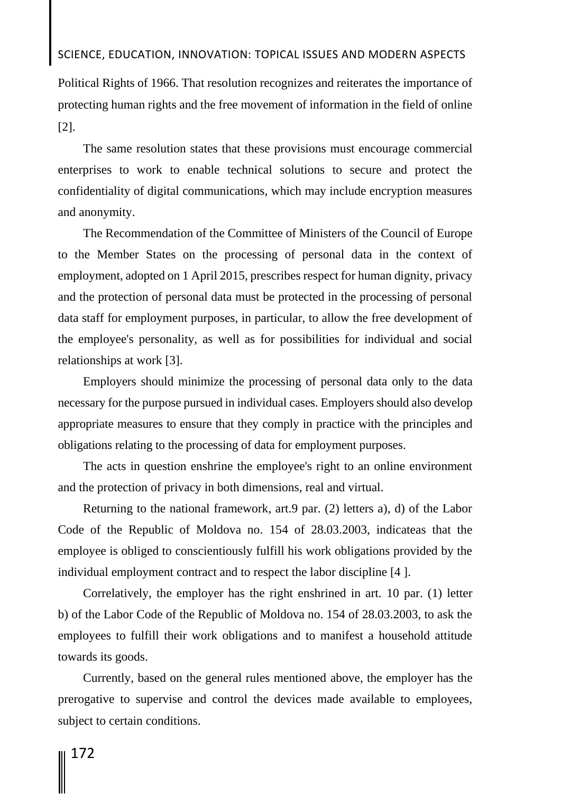Political Rights of 1966. That resolution recognizes and reiterates the importance of protecting human rights and the free movement of information in the field of online [2].

The same resolution states that these provisions must encourage commercial enterprises to work to enable technical solutions to secure and protect the confidentiality of digital communications, which may include encryption measures and anonymity.

The Recommendation of the Committee of Ministers of the Council of Europe to the Member States on the processing of personal data in the context of employment, adopted on 1 April 2015, prescribes respect for human dignity, privacy and the protection of personal data must be protected in the processing of personal data staff for employment purposes, in particular, to allow the free development of the employee's personality, as well as for possibilities for individual and social relationships at work [3].

Employers should minimize the processing of personal data only to the data necessary for the purpose pursued in individual cases. Employers should also develop appropriate measures to ensure that they comply in practice with the principles and obligations relating to the processing of data for employment purposes.

The acts in question enshrine the employee's right to an online environment and the protection of privacy in both dimensions, real and virtual.

Returning to the national framework, art.9 par. (2) letters a), d) of the Labor Code of the Republic of Moldova no. 154 of 28.03.2003, indicateas that the employee is obliged to conscientiously fulfill his work obligations provided by the individual employment contract and to respect the labor discipline [4 ].

Correlatively, the employer has the right enshrined in art. 10 par. (1) letter b) of the Labor Code of the Republic of Moldova no. 154 of 28.03.2003, to ask the employees to fulfill their work obligations and to manifest a household attitude towards its goods.

Currently, based on the general rules mentioned above, the employer has the prerogative to supervise and control the devices made available to employees, subject to certain conditions.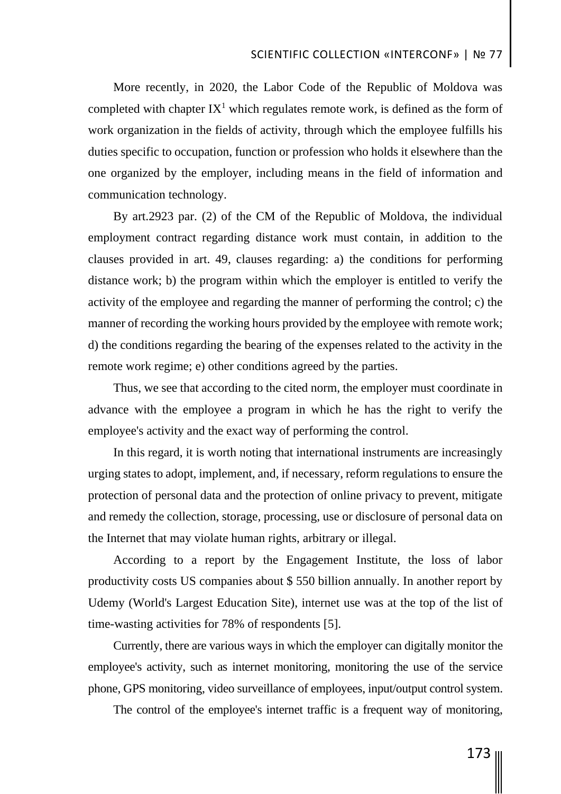More recently, in 2020, the Labor Code of the Republic of Moldova was completed with chapter  $IX^1$  which regulates remote work, is defined as the form of work organization in the fields of activity, through which the employee fulfills his duties specific to occupation, function or profession who holds it elsewhere than the one organized by the employer, including means in the field of information and communication technology.

By art.2923 par. (2) of the CM of the Republic of Moldova, the individual employment contract regarding distance work must contain, in addition to the clauses provided in art. 49, clauses regarding: a) the conditions for performing distance work; b) the program within which the employer is entitled to verify the activity of the employee and regarding the manner of performing the control; c) the manner of recording the working hours provided by the employee with remote work; d) the conditions regarding the bearing of the expenses related to the activity in the remote work regime; e) other conditions agreed by the parties.

Thus, we see that according to the cited norm, the employer must coordinate in advance with the employee a program in which he has the right to verify the employee's activity and the exact way of performing the control.

In this regard, it is worth noting that international instruments are increasingly urging states to adopt, implement, and, if necessary, reform regulations to ensure the protection of personal data and the protection of online privacy to prevent, mitigate and remedy the collection, storage, processing, use or disclosure of personal data on the Internet that may violate human rights, arbitrary or illegal.

According to a report by the Engagement Institute, the loss of labor productivity costs US companies about \$ 550 billion annually. In another report by Udemy (World's Largest Education Site), internet use was at the top of the list of time-wasting activities for 78% of respondents [5].

Currently, there are various ways in which the employer can digitally monitor the employee's activity, such as internet monitoring, monitoring the use of the service phone, GPS monitoring, video surveillance of employees, input/output control system.

The control of the employee's internet traffic is a frequent way of monitoring,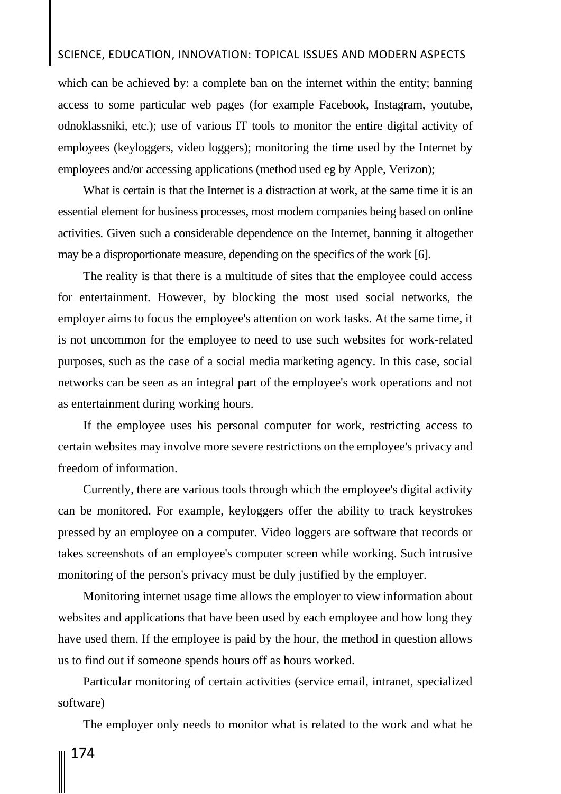which can be achieved by: a complete ban on the internet within the entity; banning access to some particular web pages (for example Facebook, Instagram, youtube, odnoklassniki, etc.); use of various IT tools to monitor the entire digital activity of employees (keyloggers, video loggers); monitoring the time used by the Internet by employees and/or accessing applications (method used eg by Apple, Verizon);

What is certain is that the Internet is a distraction at work, at the same time it is an essential element for business processes, most modern companies being based on online activities. Given such a considerable dependence on the Internet, banning it altogether may be a disproportionate measure, depending on the specifics of the work [6].

The reality is that there is a multitude of sites that the employee could access for entertainment. However, by blocking the most used social networks, the employer aims to focus the employee's attention on work tasks. At the same time, it is not uncommon for the employee to need to use such websites for work-related purposes, such as the case of a social media marketing agency. In this case, social networks can be seen as an integral part of the employee's work operations and not as entertainment during working hours.

If the employee uses his personal computer for work, restricting access to certain websites may involve more severe restrictions on the employee's privacy and freedom of information.

Currently, there are various tools through which the employee's digital activity can be monitored. For example, keyloggers offer the ability to track keystrokes pressed by an employee on a computer. Video loggers are software that records or takes screenshots of an employee's computer screen while working. Such intrusive monitoring of the person's privacy must be duly justified by the employer.

Monitoring internet usage time allows the employer to view information about websites and applications that have been used by each employee and how long they have used them. If the employee is paid by the hour, the method in question allows us to find out if someone spends hours off as hours worked.

Particular monitoring of certain activities (service email, intranet, specialized software)

The employer only needs to monitor what is related to the work and what he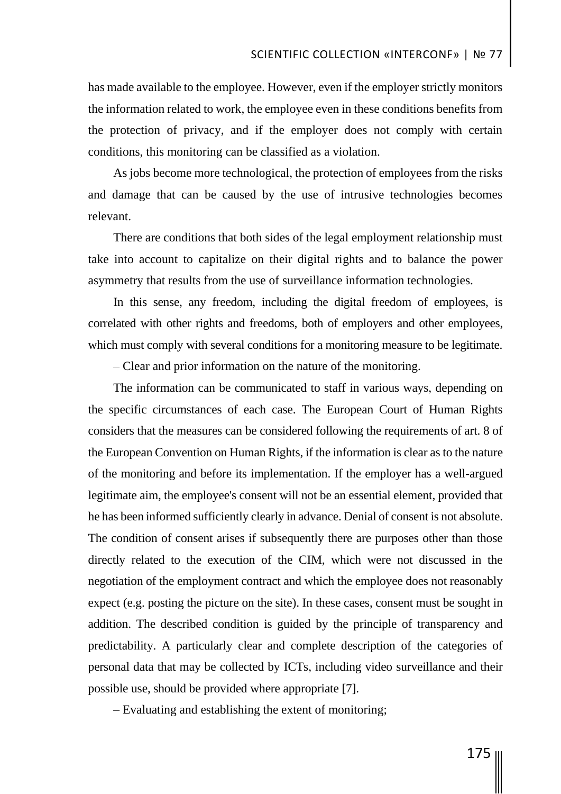has made available to the employee. However, even if the employer strictly monitors the information related to work, the employee even in these conditions benefits from the protection of privacy, and if the employer does not comply with certain conditions, this monitoring can be classified as a violation.

As jobs become more technological, the protection of employees from the risks and damage that can be caused by the use of intrusive technologies becomes relevant.

There are conditions that both sides of the legal employment relationship must take into account to capitalize on their digital rights and to balance the power asymmetry that results from the use of surveillance information technologies.

In this sense, any freedom, including the digital freedom of employees, is correlated with other rights and freedoms, both of employers and other employees, which must comply with several conditions for a monitoring measure to be legitimate.

– Clear and prior information on the nature of the monitoring.

The information can be communicated to staff in various ways, depending on the specific circumstances of each case. The European Court of Human Rights considers that the measures can be considered following the requirements of art. 8 of the European Convention on Human Rights, if the information is clear as to the nature of the monitoring and before its implementation. If the employer has a well-argued legitimate aim, the employee's consent will not be an essential element, provided that he has been informed sufficiently clearly in advance. Denial of consent is not absolute. The condition of consent arises if subsequently there are purposes other than those directly related to the execution of the CIM, which were not discussed in the negotiation of the employment contract and which the employee does not reasonably expect (e.g. posting the picture on the site). In these cases, consent must be sought in addition. The described condition is guided by the principle of transparency and predictability. A particularly clear and complete description of the categories of personal data that may be collected by ICTs, including video surveillance and their possible use, should be provided where appropriate [7].

– Evaluating and establishing the extent of monitoring;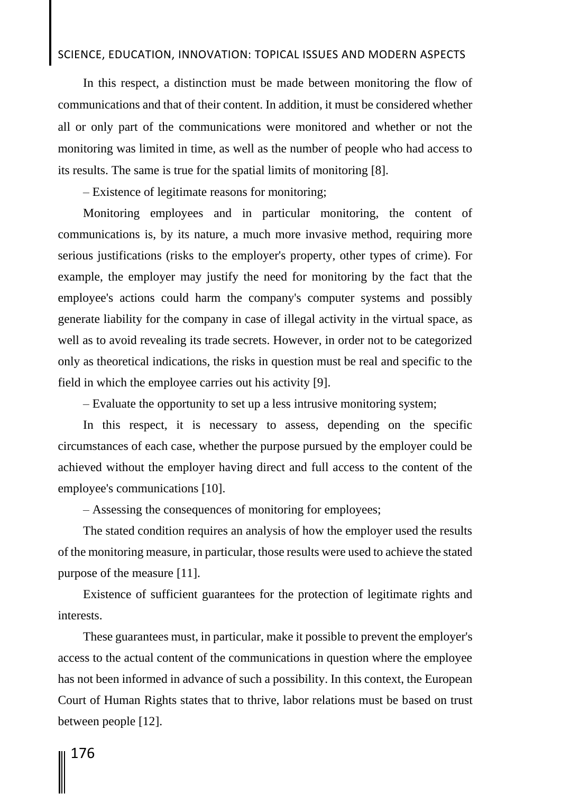In this respect, a distinction must be made between monitoring the flow of communications and that of their content. In addition, it must be considered whether all or only part of the communications were monitored and whether or not the monitoring was limited in time, as well as the number of people who had access to its results. The same is true for the spatial limits of monitoring [8].

– Existence of legitimate reasons for monitoring;

Monitoring employees and in particular monitoring, the content of communications is, by its nature, a much more invasive method, requiring more serious justifications (risks to the employer's property, other types of crime). For example, the employer may justify the need for monitoring by the fact that the employee's actions could harm the company's computer systems and possibly generate liability for the company in case of illegal activity in the virtual space, as well as to avoid revealing its trade secrets. However, in order not to be categorized only as theoretical indications, the risks in question must be real and specific to the field in which the employee carries out his activity [9].

– Evaluate the opportunity to set up a less intrusive monitoring system;

In this respect, it is necessary to assess, depending on the specific circumstances of each case, whether the purpose pursued by the employer could be achieved without the employer having direct and full access to the content of the employee's communications [10].

– Assessing the consequences of monitoring for employees;

The stated condition requires an analysis of how the employer used the results of the monitoring measure, in particular, those results were used to achieve the stated purpose of the measure [11].

Existence of sufficient guarantees for the protection of legitimate rights and interests.

These guarantees must, in particular, make it possible to prevent the employer's access to the actual content of the communications in question where the employee has not been informed in advance of such a possibility. In this context, the European Court of Human Rights states that to thrive, labor relations must be based on trust between people [12].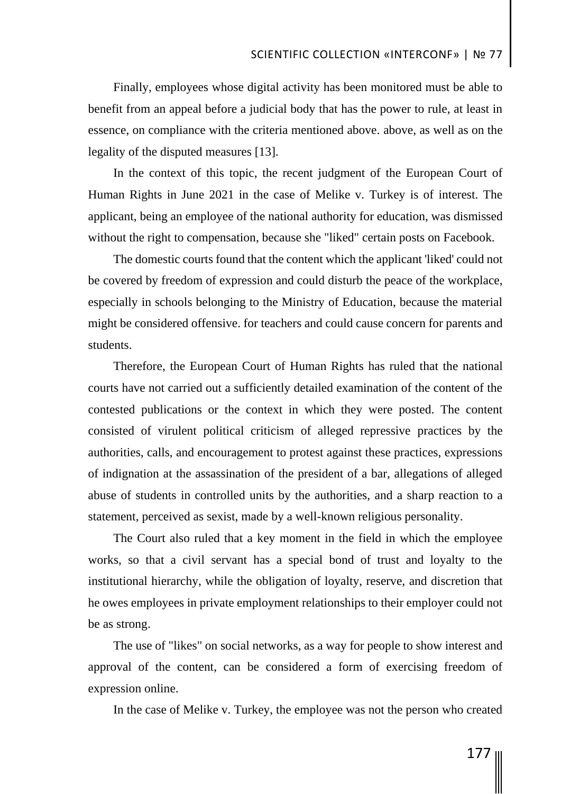Finally, employees whose digital activity has been monitored must be able to benefit from an appeal before a judicial body that has the power to rule, at least in essence, on compliance with the criteria mentioned above. above, as well as on the legality of the disputed measures [13].

In the context of this topic, the recent judgment of the European Court of Human Rights in June 2021 in the case of Melike v. Turkey is of interest. The applicant, being an employee of the national authority for education, was dismissed without the right to compensation, because she "liked" certain posts on Facebook.

The domestic courts found that the content which the applicant 'liked' could not be covered by freedom of expression and could disturb the peace of the workplace, especially in schools belonging to the Ministry of Education, because the material might be considered offensive. for teachers and could cause concern for parents and students.

Therefore, the European Court of Human Rights has ruled that the national courts have not carried out a sufficiently detailed examination of the content of the contested publications or the context in which they were posted. The content consisted of virulent political criticism of alleged repressive practices by the authorities, calls, and encouragement to protest against these practices, expressions of indignation at the assassination of the president of a bar, allegations of alleged abuse of students in controlled units by the authorities, and a sharp reaction to a statement, perceived as sexist, made by a well-known religious personality.

The Court also ruled that a key moment in the field in which the employee works, so that a civil servant has a special bond of trust and loyalty to the institutional hierarchy, while the obligation of loyalty, reserve, and discretion that he owes employees in private employment relationships to their employer could not be as strong.

The use of "likes" on social networks, as a way for people to show interest and approval of the content, can be considered a form of exercising freedom of expression online.

In the case of Melike v. Turkey, the employee was not the person who created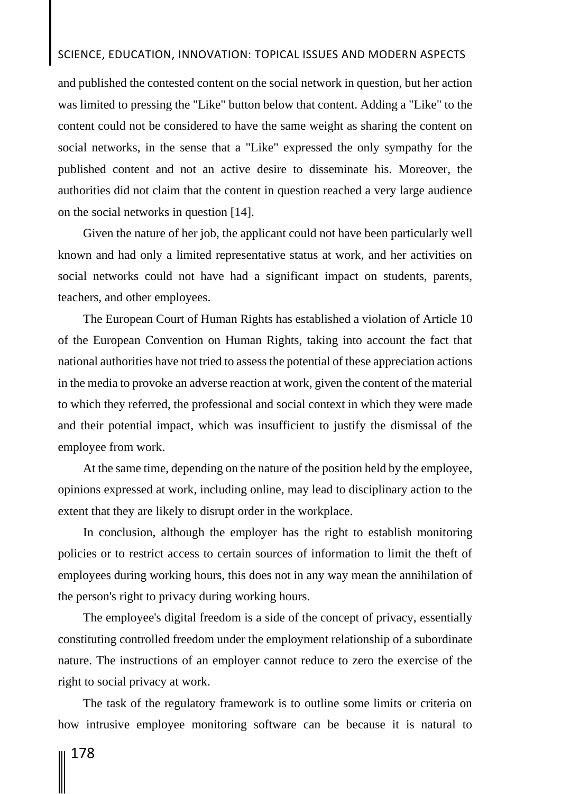and published the contested content on the social network in question, but her action was limited to pressing the "Like" button below that content. Adding a "Like" to the content could not be considered to have the same weight as sharing the content on social networks, in the sense that a "Like" expressed the only sympathy for the published content and not an active desire to disseminate his. Moreover, the authorities did not claim that the content in question reached a very large audience on the social networks in question [14].

Given the nature of her job, the applicant could not have been particularly well known and had only a limited representative status at work, and her activities on social networks could not have had a significant impact on students, parents, teachers, and other employees.

The European Court of Human Rights has established a violation of Article 10 of the European Convention on Human Rights, taking into account the fact that national authorities have not tried to assess the potential of these appreciation actions in the media to provoke an adverse reaction at work, given the content of the material to which they referred, the professional and social context in which they were made and their potential impact, which was insufficient to justify the dismissal of the employee from work.

At the same time, depending on the nature of the position held by the employee, opinions expressed at work, including online, may lead to disciplinary action to the extent that they are likely to disrupt order in the workplace.

In conclusion, although the employer has the right to establish monitoring policies or to restrict access to certain sources of information to limit the theft of employees during working hours, this does not in any way mean the annihilation of the person's right to privacy during working hours.

The employee's digital freedom is a side of the concept of privacy, essentially constituting controlled freedom under the employment relationship of a subordinate nature. The instructions of an employer cannot reduce to zero the exercise of the right to social privacy at work.

The task of the regulatory framework is to outline some limits or criteria on how intrusive employee monitoring software can be because it is natural to